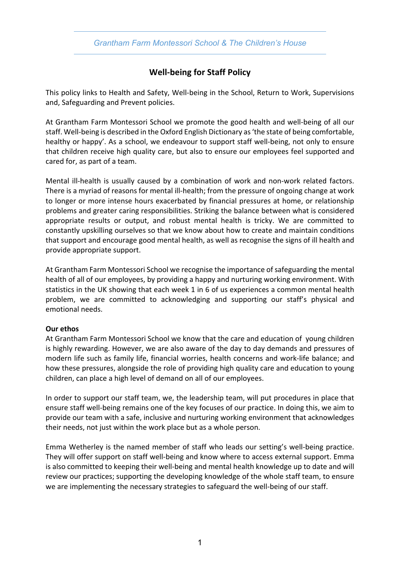*Grantham Farm Montessori School & The Children's House*

# **Well-being for Staff Policy**

This policy links to Health and Safety, Well-being in the School, Return to Work, Supervisions and, Safeguarding and Prevent policies.

At Grantham Farm Montessori School we promote the good health and well-being of all our staff. Well-being is described in the Oxford English Dictionary as 'the state of being comfortable, healthy or happy'. As a school, we endeavour to support staff well-being, not only to ensure that children receive high quality care, but also to ensure our employees feel supported and cared for, as part of a team.

Mental ill-health is usually caused by a combination of work and non-work related factors. There is a myriad of reasons for mental ill-health; from the pressure of ongoing change at work to longer or more intense hours exacerbated by financial pressures at home, or relationship problems and greater caring responsibilities. Striking the balance between what is considered appropriate results or output, and robust mental health is tricky. We are committed to constantly upskilling ourselves so that we know about how to create and maintain conditions that support and encourage good mental health, as well as recognise the signs of ill health and provide appropriate support.

At Grantham Farm Montessori School we recognise the importance of safeguarding the mental health of all of our employees, by providing a happy and nurturing working environment. With statistics in the UK showing that each week 1 in 6 of us experiences a common mental health problem, we are committed to acknowledging and supporting our staff's physical and emotional needs.

#### **Our ethos**

At Grantham Farm Montessori School we know that the care and education of young children is highly rewarding. However, we are also aware of the day to day demands and pressures of modern life such as family life, financial worries, health concerns and work-life balance; and how these pressures, alongside the role of providing high quality care and education to young children, can place a high level of demand on all of our employees.

In order to support our staff team, we, the leadership team, will put procedures in place that ensure staff well-being remains one of the key focuses of our practice. In doing this, we aim to provide our team with a safe, inclusive and nurturing working environment that acknowledges their needs, not just within the work place but as a whole person.

Emma Wetherley is the named member of staff who leads our setting's well-being practice. They will offer support on staff well-being and know where to access external support. Emma is also committed to keeping their well-being and mental health knowledge up to date and will review our practices; supporting the developing knowledge of the whole staff team, to ensure we are implementing the necessary strategies to safeguard the well-being of our staff.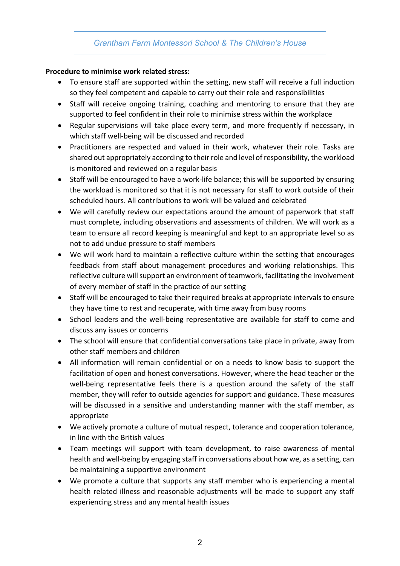## *Grantham Farm Montessori School & The Children's House*

#### **Procedure to minimise work related stress:**

- To ensure staff are supported within the setting, new staff will receive a full induction so they feel competent and capable to carry out their role and responsibilities
- Staff will receive ongoing training, coaching and mentoring to ensure that they are supported to feel confident in their role to minimise stress within the workplace
- Regular supervisions will take place every term, and more frequently if necessary, in which staff well-being will be discussed and recorded
- Practitioners are respected and valued in their work, whatever their role. Tasks are shared out appropriately according to their role and level of responsibility, the workload is monitored and reviewed on a regular basis
- Staff will be encouraged to have a work-life balance; this will be supported by ensuring the workload is monitored so that it is not necessary for staff to work outside of their scheduled hours. All contributions to work will be valued and celebrated
- We will carefully review our expectations around the amount of paperwork that staff must complete, including observations and assessments of children. We will work as a team to ensure all record keeping is meaningful and kept to an appropriate level so as not to add undue pressure to staff members
- We will work hard to maintain a reflective culture within the setting that encourages feedback from staff about management procedures and working relationships. This reflective culture will support an environment of teamwork, facilitating the involvement of every member of staff in the practice of our setting
- Staff will be encouraged to take their required breaks at appropriate intervals to ensure they have time to rest and recuperate, with time away from busy rooms
- School leaders and the well-being representative are available for staff to come and discuss any issues or concerns
- The school will ensure that confidential conversations take place in private, away from other staff members and children
- All information will remain confidential or on a needs to know basis to support the facilitation of open and honest conversations. However, where the head teacher or the well-being representative feels there is a question around the safety of the staff member, they will refer to outside agencies for support and guidance. These measures will be discussed in a sensitive and understanding manner with the staff member, as appropriate
- We actively promote a culture of mutual respect, tolerance and cooperation tolerance, in line with the British values
- Team meetings will support with team development, to raise awareness of mental health and well-being by engaging staff in conversations about how we, as a setting, can be maintaining a supportive environment
- We promote a culture that supports any staff member who is experiencing a mental health related illness and reasonable adjustments will be made to support any staff experiencing stress and any mental health issues